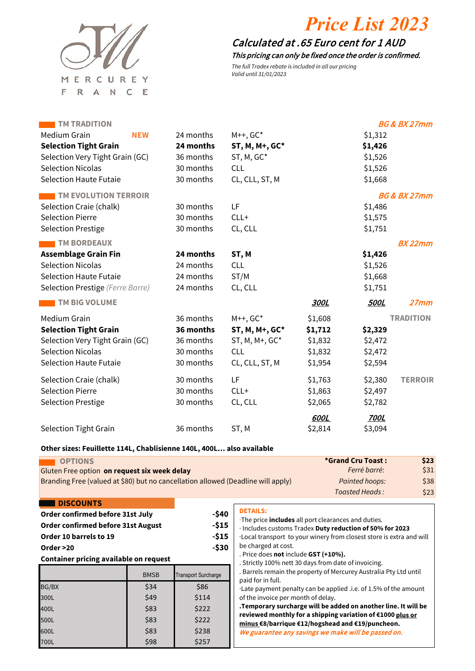

# *Price List 2023*

## 0.65 Calculated at .65 Euro cent for 1 AUD

This pricing can only be fixed once the order is confirmed.

The full Tradex rebate is included in all our pricing Valid until 31/01/2023

| <b>TM TRADITION</b>              |            |           |                   |             |             | <b>BG &amp; BX 27mm</b> |
|----------------------------------|------------|-----------|-------------------|-------------|-------------|-------------------------|
| Medium Grain                     | <b>NEW</b> | 24 months | $M++$ , $GC*$     |             | \$1,312     |                         |
| <b>Selection Tight Grain</b>     |            | 24 months | ST, M, M+, GC*    |             | \$1,426     |                         |
| Selection Very Tight Grain (GC)  |            | 36 months | ST, M, GC*        |             | \$1,526     |                         |
| <b>Selection Nicolas</b>         |            | 30 months | <b>CLL</b>        |             | \$1,526     |                         |
| <b>Selection Haute Futaie</b>    |            | 30 months | CL, CLL, ST, M    |             | \$1,668     |                         |
| <b>TM EVOLUTION TERROIR</b>      |            |           |                   |             |             | <b>BG &amp; BX 27mm</b> |
| Selection Craie (chalk)          |            | 30 months | LF                |             | \$1,486     |                         |
| <b>Selection Pierre</b>          |            | 30 months | $CLL+$            |             | \$1,575     |                         |
| <b>Selection Prestige</b>        |            | 30 months | CL, CLL           |             | \$1,751     |                         |
| <b>TM BORDEAUX</b>               |            |           |                   |             |             | <b>BX 22mm</b>          |
| <b>Assemblage Grain Fin</b>      |            | 24 months | ST, M             |             | \$1,426     |                         |
| <b>Selection Nicolas</b>         |            | 24 months | <b>CLL</b>        |             | \$1,526     |                         |
| <b>Selection Haute Futaie</b>    |            | 24 months | ST/M              |             | \$1,668     |                         |
| Selection Prestige (Ferre Barre) |            | 24 months | CL, CLL           |             | \$1,751     |                         |
| <b>TM BIG VOLUME</b>             |            |           |                   | 300L        | <b>500L</b> | 27mm                    |
| Medium Grain                     |            | 36 months | $M++$ , $GC*$     | \$1,608     |             | <b>TRADITION</b>        |
| <b>Selection Tight Grain</b>     |            | 36 months | ST, M, M+, GC*    | \$1,712     | \$2,329     |                         |
| Selection Very Tight Grain (GC)  |            | 36 months | $ST, M, M+, GC^*$ | \$1,832     | \$2,472     |                         |
| <b>Selection Nicolas</b>         |            | 30 months | <b>CLL</b>        | \$1,832     | \$2,472     |                         |
| <b>Selection Haute Futaie</b>    |            | 30 months | CL, CLL, ST, M    | \$1,954     | \$2,594     |                         |
| Selection Craie (chalk)          |            | 30 months | LF                | \$1,763     | \$2,380     | <b>TERROIR</b>          |
| <b>Selection Pierre</b>          |            | 30 months | $CLL+$            | \$1,863     | \$2,497     |                         |
| <b>Selection Prestige</b>        |            | 30 months | CL, CLL           | \$2,065     | \$2,782     |                         |
|                                  |            |           |                   | <b>600L</b> | <b>700L</b> |                         |
| <b>Selection Tight Grain</b>     |            | 36 months | ST, M             | \$2,814     | \$3,094     |                         |
|                                  |            |           |                   |             |             |                         |

#### **Other sizes: Feuillette 114L, Chablisienne 140L, 400L… also available**

| <b>OPTIONS</b>                                                                   | *Grand Cru Toast : | \$23            |
|----------------------------------------------------------------------------------|--------------------|-----------------|
| Gluten Free option on request six week delay                                     | Ferré barré:       | $\frac{331}{2}$ |
| Branding Free (valued at \$80) but no cancellation allowed (Deadline will apply) | Painted hoops:     | \$38            |
|                                                                                  | Toasted Heads:     | \$23            |

#### **DISCOUNTS**

| Order confirmed before 31st July   | -\$40 |
|------------------------------------|-------|
| Order confirmed before 31st August | -\$15 |
| Order 10 barrels to 19             | -\$15 |
| Order >20                          | -\$30 |

#### **Container pricing available on request**

|       | <b>BMSB</b> | <b>Transport Surcharge</b> |
|-------|-------------|----------------------------|
| BG/BX | \$34        | \$86                       |
| 300L  | \$49        | \$114                      |
| 400L  | \$83        | \$222                      |
| 500L  | \$83        | \$222                      |
| 600L  | \$83        | \$238                      |
| 700L  | \$98        | \$257                      |

### **DETAILS:**

·The price **includes** all port clearances and duties. · Includes customs Tradex **Duty reduction of 50% for 2023** 

·Local transport to your winery from closest store is extra and will be charged at cost.

. Price does **not** include **GST (+10%).**

. Strictly 100% nett 30 days from date of invoicing.

. Barrels remain the property of Mercurey Australia Pty Ltd until paid for in full.

·Late payment penalty can be applied .i.e. of 1.5% of the amount of the invoice per month of delay.

**.Temporary surcharge will be added on another line. It will be reviewed monthly for a shipping variation of €1000 plus or minus €8/barrique €12/hogshead and €19/puncheon.** We guarantee any savings we make will be passed on.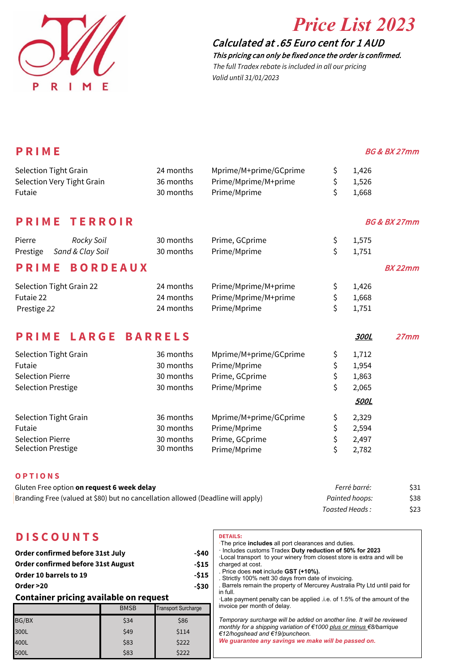

# *Price List 2023*

## 0.65 Calculated at .65 Euro cent for 1 AUD

This pricing can only be fixed once the order is confirmed. The full Tradex rebate is included in all our pricing Valid until 31/01/2023

| PRIME                                                                            |                |                        |                | <b>BG &amp; BX 27mm</b> |
|----------------------------------------------------------------------------------|----------------|------------------------|----------------|-------------------------|
| Selection Tight Grain                                                            | 24 months      | Mprime/M+prime/GCprime | \$<br>1,426    |                         |
| Selection Very Tight Grain                                                       | 36 months      | Prime/Mprime/M+prime   | \$<br>1,526    |                         |
| Futaie                                                                           | 30 months      | Prime/Mprime           | \$<br>1,668    |                         |
| <b>PRIME</b><br><b>TERROIR</b>                                                   |                |                        |                | <b>BG &amp; BX 27mm</b> |
| Pierre<br>Rocky Soil                                                             | 30 months      | Prime, GCprime         | \$<br>1,575    |                         |
| Sand & Clay Soil<br>Prestige                                                     | 30 months      | Prime/Mprime           | \$<br>1,751    |                         |
| <b>BORDEAUX</b><br>PRIME                                                         |                |                        |                | <b>BX 22mm</b>          |
| Selection Tight Grain 22                                                         | 24 months      | Prime/Mprime/M+prime   | \$<br>1,426    |                         |
| Futaie 22                                                                        | 24 months      | Prime/Mprime/M+prime   | \$<br>1,668    |                         |
| Prestige 22                                                                      | 24 months      | Prime/Mprime           | \$<br>1,751    |                         |
| LARGE<br><b>PRIME</b>                                                            | <b>BARRELS</b> |                        | 300L           | 27mm                    |
| Selection Tight Grain                                                            | 36 months      | Mprime/M+prime/GCprime | \$<br>1,712    |                         |
| Futaie                                                                           | 30 months      | Prime/Mprime           | \$<br>1,954    |                         |
| <b>Selection Pierre</b>                                                          | 30 months      | Prime, GCprime         | \$<br>1,863    |                         |
| <b>Selection Prestige</b>                                                        | 30 months      | Prime/Mprime           | \$<br>2,065    |                         |
|                                                                                  |                |                        | <b>500L</b>    |                         |
| Selection Tight Grain                                                            | 36 months      | Mprime/M+prime/GCprime | \$<br>2,329    |                         |
| Futaie                                                                           | 30 months      | Prime/Mprime           | \$<br>2,594    |                         |
| <b>Selection Pierre</b>                                                          | 30 months      | Prime, GCprime         | \$<br>2,497    |                         |
| <b>Selection Prestige</b>                                                        | 30 months      | Prime/Mprime           | \$<br>2,782    |                         |
| <b>OPTIONS</b>                                                                   |                |                        |                |                         |
| Gluten Free option on request 6 week delay                                       |                |                        | Ferré barré:   | \$31                    |
| Branding Free (valued at \$80) but no cancellation allowed (Deadline will apply) |                |                        | Painted hoops: | \$38                    |
|                                                                                  |                |                        | Toasted Heads: | \$23                    |

## **D I S C O U N T S**

| Order confirmed before 31st July       | -\$40 |
|----------------------------------------|-------|
| Order confirmed before 31st August     | -\$15 |
| Order 10 barrels to 19                 | -\$15 |
| Order >20                              | -\$30 |
| Container pricing available on request |       |

#### **Container pricing available on request**

| ັ     |             |                            |  |  |  |  |
|-------|-------------|----------------------------|--|--|--|--|
|       | <b>BMSB</b> | <b>Transport Surcharge</b> |  |  |  |  |
| BG/BX | \$34        | \$86                       |  |  |  |  |
| 300L  | \$49        | \$114                      |  |  |  |  |
| 400L  | \$83        | \$222                      |  |  |  |  |
| 500L  | \$83        | \$222                      |  |  |  |  |

#### **DETAILS:**

| The price <b>includes</b> all port clearances and duties.<br>· Includes customs Tradex Duty reduction of 50% for 2023<br>. Local transport to your winery from closest store is extra and will be<br>charged at cost.                  |
|----------------------------------------------------------------------------------------------------------------------------------------------------------------------------------------------------------------------------------------|
| . Price does not include GST (+10%).<br>. Strictly 100% nett 30 days from date of invoicing.                                                                                                                                           |
| . Barrels remain the property of Mercurey Australia Pty Ltd until paid for<br>in full.                                                                                                                                                 |
| Late payment penalty can be applied .i.e. of 1.5% of the amount of the<br>invoice per month of delay.                                                                                                                                  |
| Temporary surcharge will be added on another line. It will be reviewed<br>monthly for a shipping variation of €1000 plus or minus €8/barrique<br>€12/hogshead and €19/puncheon.<br>We quarantee any savings we make will be passed on. |
|                                                                                                                                                                                                                                        |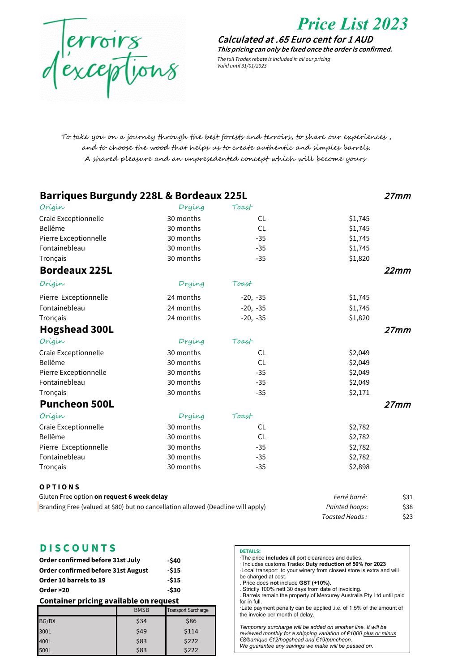

déscriptions

0.65 Calculated at .65 Euro cent for 1 AUD This pricing can only be fixed once the order is confirmed.

The full Tradex rebate is included in all our pricing Valid until 31/01/2023

To take you on a journey through the best forests and terroirs, to share our experiences , and to choose the wood that helps us to create authentic and simples barrels. A shared pleasure and an unpresedented concept which will become yours

| <b>Barriques Burgundy 228L &amp; Bordeaux 225L</b>                               |           |            |                |      |
|----------------------------------------------------------------------------------|-----------|------------|----------------|------|
| Origin                                                                           | Drying    | Toast      |                |      |
| Craie Exceptionnelle                                                             | 30 months | CL.        | \$1,745        |      |
| Bellême                                                                          | 30 months | CL         | \$1,745        |      |
| Pierre Exceptionnelle                                                            | 30 months | $-35$      | \$1,745        |      |
| Fontainebleau                                                                    | 30 months | $-35$      | \$1,745        |      |
| Tronçais                                                                         | 30 months | $-35$      | \$1,820        |      |
| <b>Bordeaux 225L</b>                                                             |           |            |                | 22mm |
| Origin                                                                           | Drying    | Toast      |                |      |
| Pierre Exceptionnelle                                                            | 24 months | $-20, -35$ | \$1,745        |      |
| Fontainebleau                                                                    | 24 months | $-20, -35$ | \$1,745        |      |
| Tronçais                                                                         | 24 months | $-20, -35$ | \$1,820        |      |
| <b>Hogshead 300L</b>                                                             |           |            |                | 27mm |
| Origin                                                                           | Drying    | Toast      |                |      |
| Craie Exceptionnelle                                                             | 30 months | <b>CL</b>  | \$2,049        |      |
| Bellême                                                                          | 30 months | CL         | \$2,049        |      |
| Pierre Exceptionnelle                                                            | 30 months | $-35$      | \$2,049        |      |
| Fontainebleau                                                                    | 30 months | $-35$      | \$2,049        |      |
| Tronçais                                                                         | 30 months | $-35$      | \$2,171        |      |
| <b>Puncheon 500L</b>                                                             |           |            |                | 27mm |
| Origin                                                                           | Drying    | Toast      |                |      |
| Craie Exceptionnelle                                                             | 30 months | <b>CL</b>  | \$2,782        |      |
| Bellême                                                                          | 30 months | CL         | \$2,782        |      |
| Pierre Exceptionnelle                                                            | 30 months | $-35$      | \$2,782        |      |
| Fontainebleau                                                                    | 30 months | $-35$      | \$2,782        |      |
| Tronçais                                                                         | 30 months | $-35$      | \$2,898        |      |
| OPTIONS                                                                          |           |            |                |      |
| Gluten Free option on request 6 week delay                                       |           |            | Ferré barré:   | \$31 |
| Branding Free (valued at \$80) but no cancellation allowed (Deadline will apply) |           |            | Painted hoops: | \$38 |

#### **D I S C O U N T S**

| Order confirmed before 31st July   | -\$40  |
|------------------------------------|--------|
| Order confirmed before 31st August | $-515$ |
| Order 10 barrels to 19             | $-515$ |
| Order >20                          | -\$30  |

#### **Container pricing available on request**

|       | <b>BMSB</b> | <b>Transport Surcharge</b> |
|-------|-------------|----------------------------|
| BG/BX | \$34        | \$86                       |
| 300L  | \$49        | \$114                      |
| 400L  | \$83        | \$222                      |
| 500L  | \$83        | \$222                      |

#### **DETAILS:**

·The price **includes** all port clearances and duties. · Includes customs Tradex **Duty reduction of 50% for 2023**  ·Local transport to your winery from closest store is extra and will be charged at cost.

*Toasted Heads :* \$23

. Price does **not** include **GST (+10%).** . Strictly 100% nett 30 days from date of invoicing. . Barrels remain the property of Mercurey Australia Pty Ltd until paid

for in full. ·Late payment penalty can be applied .i.e. of 1.5% of the amount of the invoice per month of delay.

*Temporary surcharge will be added on another line. It will be reviewed monthly for a shipping variation of €1000 plus or minus €8/barrique €12/hogshead and €19/puncheon. We guarantee any savings we make will be passed on.*